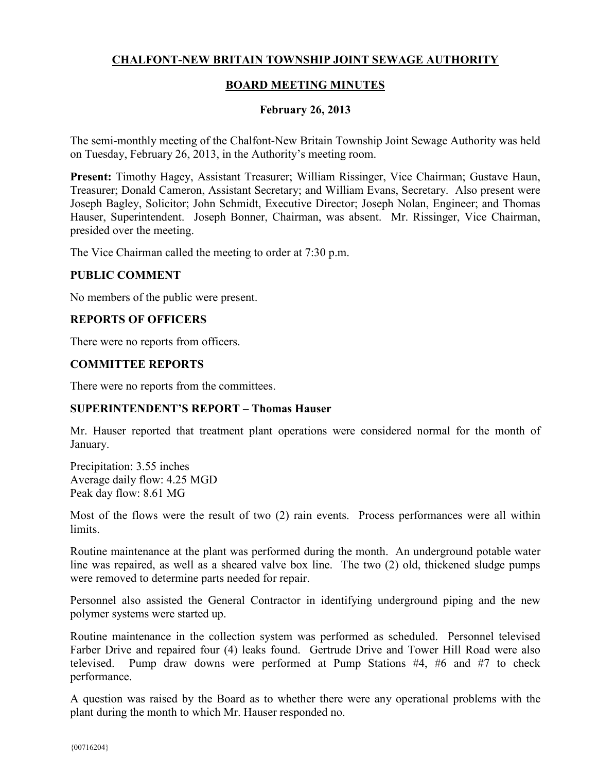# **CHALFONT-NEW BRITAIN TOWNSHIP JOINT SEWAGE AUTHORITY**

## **BOARD MEETING MINUTES**

### **February 26, 2013**

The semi-monthly meeting of the Chalfont-New Britain Township Joint Sewage Authority was held on Tuesday, February 26, 2013, in the Authority's meeting room.

**Present:** Timothy Hagey, Assistant Treasurer; William Rissinger, Vice Chairman; Gustave Haun, Treasurer; Donald Cameron, Assistant Secretary; and William Evans, Secretary. Also present were Joseph Bagley, Solicitor; John Schmidt, Executive Director; Joseph Nolan, Engineer; and Thomas Hauser, Superintendent. Joseph Bonner, Chairman, was absent. Mr. Rissinger, Vice Chairman, presided over the meeting.

The Vice Chairman called the meeting to order at 7:30 p.m.

#### **PUBLIC COMMENT**

No members of the public were present.

#### **REPORTS OF OFFICERS**

There were no reports from officers.

#### **COMMITTEE REPORTS**

There were no reports from the committees.

#### **SUPERINTENDENT'S REPORT – Thomas Hauser**

Mr. Hauser reported that treatment plant operations were considered normal for the month of January.

Precipitation: 3.55 inches Average daily flow: 4.25 MGD Peak day flow: 8.61 MG

Most of the flows were the result of two (2) rain events. Process performances were all within limits.

Routine maintenance at the plant was performed during the month. An underground potable water line was repaired, as well as a sheared valve box line. The two (2) old, thickened sludge pumps were removed to determine parts needed for repair.

Personnel also assisted the General Contractor in identifying underground piping and the new polymer systems were started up.

Routine maintenance in the collection system was performed as scheduled. Personnel televised Farber Drive and repaired four (4) leaks found. Gertrude Drive and Tower Hill Road were also televised. Pump draw downs were performed at Pump Stations #4, #6 and #7 to check performance.

A question was raised by the Board as to whether there were any operational problems with the plant during the month to which Mr. Hauser responded no.